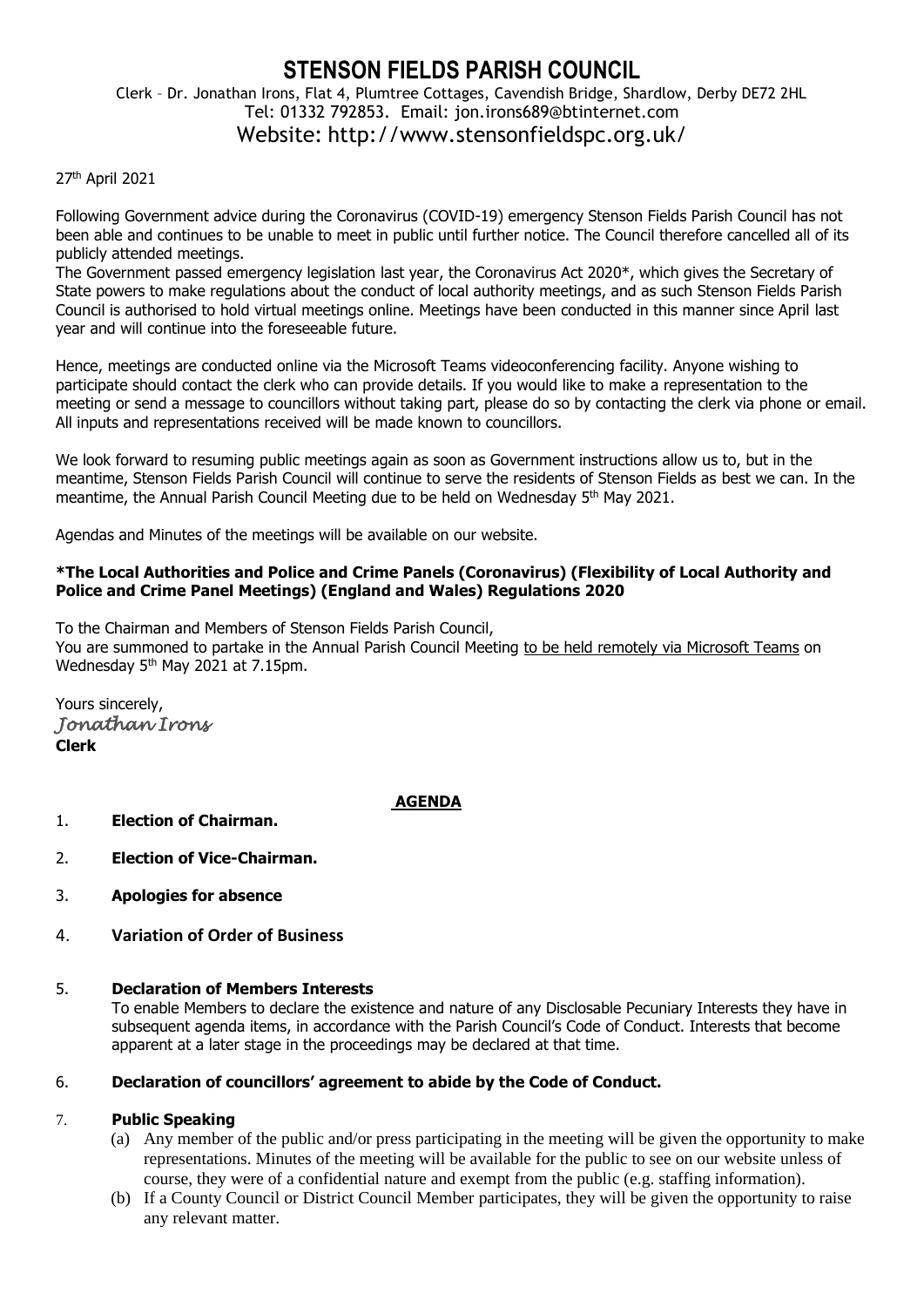# **STENSON FIELDS PARISH COUNCIL** Clerk – Dr. Jonathan Irons, Flat 4, Plumtree Cottages, Cavendish Bridge, Shardlow, Derby DE72 2HL Tel: 01332 792853. Email: jon.irons689@btinternet.com Website: http://www.stensonfieldspc.org.uk/

#### 27th April 2021

Following Government advice during the Coronavirus (COVID-19) emergency Stenson Fields Parish Council has not been able and continues to be unable to meet in public until further notice. The Council therefore cancelled all of its publicly attended meetings.

The Government passed emergency legislation last year, the Coronavirus Act 2020\*, which gives the Secretary of State powers to make regulations about the conduct of local authority meetings, and as such Stenson Fields Parish Council is authorised to hold virtual meetings online. Meetings have been conducted in this manner since April last year and will continue into the foreseeable future.

Hence, meetings are conducted online via the Microsoft Teams videoconferencing facility. Anyone wishing to participate should contact the clerk who can provide details. If you would like to make a representation to the meeting or send a message to councillors without taking part, please do so by contacting the clerk via phone or email. All inputs and representations received will be made known to councillors.

We look forward to resuming public meetings again as soon as Government instructions allow us to, but in the meantime, Stenson Fields Parish Council will continue to serve the residents of Stenson Fields as best we can. In the meantime, the Annual Parish Council Meeting due to be held on Wednesday 5<sup>th</sup> May 2021.

Agendas and Minutes of the meetings will be available on our website.

#### **\*The Local Authorities and Police and Crime Panels (Coronavirus) (Flexibility of Local Authority and Police and Crime Panel Meetings) (England and Wales) Regulations 2020**

To the Chairman and Members of Stenson Fields Parish Council, You are summoned to partake in the Annual Parish Council Meeting to be held remotely via Microsoft Teams on Wednesday 5<sup>th</sup> May 2021 at 7.15pm.

Yours sincerely, *Jonathan Irons*  **Clerk**

1. **Election of Chairman.** 

# **AGENDA**

- 2. **Election of Vice-Chairman.**
- 3. **Apologies for absence**
- 4. **Variation of Order of Business**

#### 5. **Declaration of Members Interests**

To enable Members to declare the existence and nature of any Disclosable Pecuniary Interests they have in subsequent agenda items, in accordance with the Parish Council's Code of Conduct. Interests that become apparent at a later stage in the proceedings may be declared at that time.

# 6. **Declaration of councillors' agreement to abide by the Code of Conduct.**

# 7. **Public Speaking**

- (a) Any member of the public and/or press participating in the meeting will be given the opportunity to make representations. Minutes of the meeting will be available for the public to see on our website unless of course, they were of a confidential nature and exempt from the public (e.g. staffing information).
- (b) If a County Council or District Council Member participates, they will be given the opportunity to raise any relevant matter.